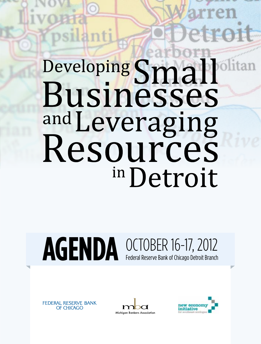# Developing Small Businesses and Leveraging Resources in Detroit

# AGENDA OCTOBER 16-17, 2012 Federal Reserve Bank of Chicago Detroit Branch





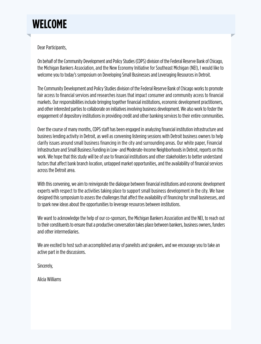

# Dear Participants,

On behalf of the Community Development and Policy Studies (CDPS) division of the Federal Reserve Bank of Chicago, the Michigan Bankers Association, and the New Economy Initiative for Southeast Michigan (NEI), I would like to welcome you to today's symposium on Developing Small Businesses and Leveraging Resources in Detroit.

The Community Development and Policy Studies division of the Federal Reserve Bank of Chicago works to promote fair access to financial services and researches issues that impact consumer and community access to financial markets. Our responsibilities include bringing together financial institutions, economic development practitioners, and other interested parties to collaborate on initiatives involving business development. We also work to foster the engagement of depository institutions in providing credit and other banking services to their entire communities.

Over the course of many months, CDPS staff has been engaged in analyzing financial institution infrastructure and business lending activity in Detroit, as well as convening listening sessions with Detroit business owners to help clarify issues around small business financing in the city and surrounding areas. Our white paper, Financial Infrastructure and Small Business Funding in Low- and Moderate-Income Neighborhoods in Detroit, reports on this work. We hope that this study will be of use to financial institutions and other stakeholders to better understand factors that affect bank branch location, untapped market opportunities, and the availability of financial services across the Detroit area.

With this convening, we aim to reinvigorate the dialogue between financial institutions and economic development experts with respect to the activities taking place to support small business development in the city. We have designed this symposium to assess the challenges that affect the availability of financing for small businesses, and to spark new ideas about the opportunities to leverage resources between institutions.

We want to acknowledge the help of our co-sponsors, the Michigan Bankers Association and the NEI, to reach out to their constituents to ensure that a productive conversation takes place between bankers, business owners, funders and other intermediaries.

We are excited to host such an accomplished array of panelists and speakers, and we encourage you to take an active part in the discussions.

Sincerely,

Alicia Williams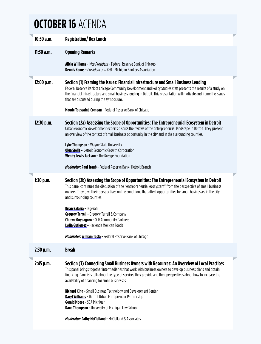# <span id="page-2-0"></span>**OCTOBER 16** AGENDA

|  | 10:30a.m.  | <b>Registration/Box Lunch</b>                                                                                                                                                                                                                                                                                                                                                                                                                                                 |
|--|------------|-------------------------------------------------------------------------------------------------------------------------------------------------------------------------------------------------------------------------------------------------------------------------------------------------------------------------------------------------------------------------------------------------------------------------------------------------------------------------------|
|  | 11:30a.m.  | <b>Opening Remarks</b>                                                                                                                                                                                                                                                                                                                                                                                                                                                        |
|  |            | <b>Alicia Williams - Vice President - Federal Reserve Bank of Chicago</b><br><b>Dennis Koons</b> - President and CEO - Michigan Bankers Association                                                                                                                                                                                                                                                                                                                           |
|  | 12:00 p.m. | Section (1) Framing the Issues: Financial Infrastructure and Small Business Lending<br>Federal Reserve Bank of Chicago Community Development and Policy Studies staff presents the results of a study on<br>the financial infrastructure and small business lending in Detroit. This presentation will motivate and frame the issues<br>that are discussed during the symposium.                                                                                              |
|  |            | <b>Maude Toussaint-Comeau - Federal Reserve Bank of Chicago</b>                                                                                                                                                                                                                                                                                                                                                                                                               |
|  | 12:30 p.m. | Section (2a) Assessing the Scope of Opportunities: The Entrepreneurial Ecosystem in Detroit<br>Urban economic development experts discuss their views of the entrepreneurial landscape in Detroit. They present<br>an overview of the context of small business opportunity in the city and in the surrounding counties.<br>Lyke Thompson - Wayne State University<br>Olga Stella - Detroit Economic Growth Corporation<br><b>Wendy Lewis Jackson - The Kresge Foundation</b> |
|  |            | <i>Moderator:</i> Paul Traub - Federal Reserve Bank- Detroit Branch                                                                                                                                                                                                                                                                                                                                                                                                           |
|  |            |                                                                                                                                                                                                                                                                                                                                                                                                                                                                               |
|  | 1:30 p.m.  | Section (2b) Assessing the Scope of Opportunities: The Entrepreneurial Ecosystem in Detroit<br>This panel continues the discussion of the "entrepreneurial ecosystem" from the perspective of small business<br>owners. They give their perspectives on the conditions that affect opportunities for small businesses in the city<br>and surrounding counties.                                                                                                                |
|  |            | <b>Brian Balasia - Digerati</b><br><b>Gregory Terrell</b> - Gregory Terrell & Company<br>Chinwe Onyeagoro - O-H Community Partners<br>Lydia Gutierrez - Hacienda Mexican Foods                                                                                                                                                                                                                                                                                                |
|  |            | <b>Moderator: William Testa - Federal Reserve Bank of Chicago</b>                                                                                                                                                                                                                                                                                                                                                                                                             |
|  | 2:30 p.m.  | <b>Break</b>                                                                                                                                                                                                                                                                                                                                                                                                                                                                  |
|  | 2:45 p.m.  | Section (3) Connecting Small Business Owners with Resources: An Overview of Local Practices<br>This panel brings together intermediaries that work with business owners to develop business plans and obtain<br>financing. Panelists talk about the type of services they provide and their perspectives about how to increase the<br>availability of financing for small businesses.                                                                                         |
|  |            | Richard King - Small Business Technology and Development Center<br><b>Daryl Williams - Detroit Urban Entrepreneur Partnership</b><br>Gerald Moore - SBA Michigan<br><b>Dana Thompson</b> - University of Michigan Law School                                                                                                                                                                                                                                                  |
|  |            | Moderator: Cathy McClelland - McClelland & Associates                                                                                                                                                                                                                                                                                                                                                                                                                         |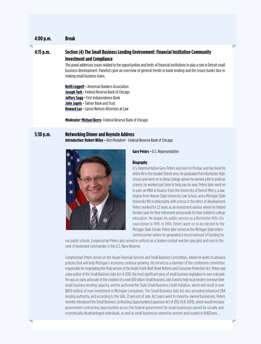# **4:00 p.m. Break**

# **4:15 p.m. Section (4) The Small Business Lending Environment: Financial Institution Community Investment and Compliance**

This panel addresses issues related to the opportunities and limits of financial institutions to play a role in Detroit small business development. Panelists give an overview of general trends in bank lending and the issues banks face in making small business loans.

**[Keith Leggett](#page-12-1) -** American Bankers Association **[Joseph Turk](#page-18-2) -** Federal Reserve Bank of Chicago **[Jeffery Sugg](#page-16-2) -** First Independence Bank **[John Jagels](#page-10-0) -** Talmer Bank and Trust **[Howard Lax](#page-11-1) -** Lipson Neilson Attorneys at Law

*Moderator:* **[Michael Berry](#page-7-0)-** Federal Reserve Bank of Chicago

# **5:30 p.m. Networking Dinner and Keynote Address**

*Introduction:* **[Robert Wiley](#page-18-3) -** *Vice President* - Federal Reserve Bank of Chicago



# **Gary Peters -** U.S. Representative

# **Biography**

U.S. Representative Gary Peters was born in Pontiac and has lived his entire life in the Greater Detroit area. He graduated from Rochester High School and went on to Alma College where he earned a BA in political science; he worked part time to help pay his way. Peters later went on to earn an MBA in finance from the University of Detroit Mercy, a law degree from Wayne State University Law School, and a Michigan State University MA in philosophy with a focus in the ethics of development. Peters worked for 22 years as an investment advisor where he helped families save for their retirement and provide for their children's college education. He began his public service as a Rochester Hills city councilman in 1991. In 1994, Peters went on to be elected to the Michigan State Senate. Peters later served as the Michigan State lottery commissioner where he generated a record amount of funding for

our public schools. Congressman Peters also served in uniform as a Seabee combat warfare specialist and rose to the rank of lieutenant commander in the U.S. Navy Reserve.

Congressman Peters serves on the House Financial Services and Small Business Committees, where he works to advance policies that will help Michigan's economy continue growing. He served as a member of the conference committee responsible for negotiating the final version of the Dodd-Frank Wall Street Reform and Consumer Protection Act. Peters was a key author of the Small Business Jobs Act of 2010, the most significant piece of small business legislation in over a decade. He was an early advocate of the creation of a new \$30 billion Small Business Jobs Fund to help local lenders increase their small business lending capacity, and he authored the State Small Business Credit Initiative, which will result in over \$800 million of new investment in Michigan companies. The Small Business Jobs Act also provided enhanced SBA lending authority, and according to the SBA, 21 percent of Jobs Act loans went to minority-owned businesses. Peters recently introduced the Small Business Contracting Opportunities Expansion Act of 2012 (H.R. 6078), which would increase government contracting opportunities across the federal government for small businesses owned by socially and economically disadvantaged individuals, as well as small businesses owned by women and located in HUBZones.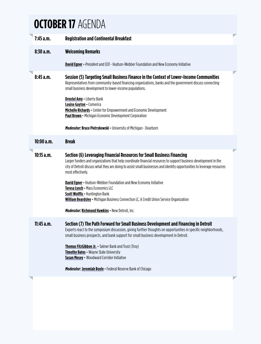# <span id="page-4-0"></span>**OCTOBER 17** AGENDA

| 7:45 a.m. | <b>Registration and Continental Breakfast</b>                                                                                                                                                                                                                                                                                               |  |
|-----------|---------------------------------------------------------------------------------------------------------------------------------------------------------------------------------------------------------------------------------------------------------------------------------------------------------------------------------------------|--|
| 8:30 a.m. | <b>Welcoming Remarks</b>                                                                                                                                                                                                                                                                                                                    |  |
|           | <b>David Egner - President and CEO - Hudson-Webber Foundation and New Economy Initiative</b>                                                                                                                                                                                                                                                |  |
| 8:45 a.m. | Session (5) Targeting Small Business Finance in the Context of Lower-Income Communities<br>Representatives from community-based financing organizations, banks and the government discuss connecting<br>small business development to lower-income populations.                                                                             |  |
|           | <b>Drextel Amy - Liberty Bank</b><br>Louise Guyton - Comerica<br>Michelle Richards - Center for Empowerment and Economic Development<br>Paul Brown - Michigan Economic Development Corporation                                                                                                                                              |  |
|           | <b>Moderator: Bruce Pietrykowski - University of Michigan - Dearborn</b>                                                                                                                                                                                                                                                                    |  |
| 10:00a.m. | <b>Break</b>                                                                                                                                                                                                                                                                                                                                |  |
| 10:15a.m. | Section (6) Leveraging Financial Resources for Small Business Financing<br>Larger funders and organizations that help coordinate financial resources to support business development in the<br>city of Detroit discuss what they are doing to assist small businesses and identify opportunities to leverage resources<br>most effectively. |  |
|           | <b>David Egner - Hudson-Webber Foundation and New Economy Initiative</b><br>Teresa Lynch - Mass Economics LLC<br><b>Scott Wolffis - Huntington Bank</b><br><b>William Beardsley - Michigan Business Connection LC, A Credit Union Service Organization</b>                                                                                  |  |
|           | <b>Moderator: Richmond Hawkins - New Detroit, Inc.</b>                                                                                                                                                                                                                                                                                      |  |
| 11:45a.m. | Section (7) The Path Forward for Small Business Development and Financing in Detroit<br>Experts react to the symposium discussion, giving further thoughts on opportunities in specific neighborhoods,<br>small business prospects, and bank support for small business development in Detroit.                                             |  |
|           | <b>Thomas FitzGibbon Jr.</b> - Talmer Bank and Trust (Troy)<br><b>Timothy Bates - Wayne State University</b><br><b>Susan Mosey - Woodward Corridor Initiative</b>                                                                                                                                                                           |  |
|           | <b>Moderator: Jeremiah Boyle - Federal Reserve Bank of Chicago</b>                                                                                                                                                                                                                                                                          |  |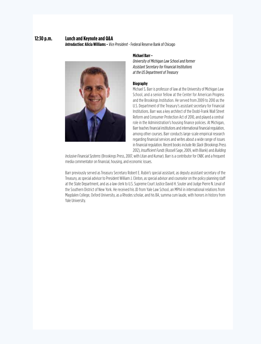# **12:30 p.m. Lunch and Keynote and Q&A**

*Introduction:* **[Alicia Williams](#page-18-0) -** *Vice President -* Federal Reserve Bank of Chicago



# **Michael Barr -**

*University of Michigan Law School and former Assistant Secretary for Financial Institutions at the US Department of Treasury*

# **Biography**

Michael S. Barr is professor of law at the University of Michigan Law School, and a senior fellow at the Center for American Progress and the Brookings Institution. He served from 2009 to 2010 as the U.S. Department of the Treasury's assistant secretary for Financial Institutions. Barr was a key architect of the Dodd-Frank Wall Street Reform and Consumer Protection Act of 2010, and played a central role in the Administration's housing finance policies. At Michigan, Barr teaches financial institutions and international financial regulation, among other courses. Barr conducts large-scale empirical research regarding financial services and writes about a wide range of issues in financial regulation. Recent books include *No Slack* (Brookings Press 2012), *Insufficient Funds* (Russell Sage, 2009, with Blank) and *Building* 

*Inclusive Financial Systems* (Brookings Press, 2007, with Litan and Kumar). Barr is a contributor for CNBC and a frequent media commentator on financial, housing, and economic issues.

Barr previously served as Treasury Secretary Robert E. Rubin's special assistant, as deputy assistant secretary of the Treasury, as special advisor to President William J. Clinton, as special advisor and counselor on the policy planning staff at the State Department, and as a law clerk to U.S. Supreme Court Justice David H. Souter and Judge Pierre N. Leval of the Southern District of New York. He received his JD from Yale Law School, an MPhil in international relations from Magdalen College, Oxford University, as a Rhodes scholar, and his BA, summa cum laude, with honors in history from Yale University.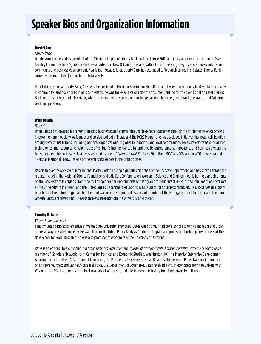# **Speaker Bios and Organization Information**

# <span id="page-6-1"></span>**Drextel Amy**

# *Liberty Bank*

Drextel Amy has served as president of the Michigan Region of Liberty Bank and Trust since 2010, and is also chairman of the bank's Asset Liability Committee. In 1972, Liberty Bank was chartered in New Orleans, Louisiana, with a focus on service, integrity and a sincere interest in community and business development. Nearly four decades later, Liberty Bank has expanded to 18 branch offices in six states. Liberty Bank currently has more than \$550 million in total assets.

Prior to his position at Liberty Bank, Amy was the president of Michigan Banking for ShoreBank, a full-service community bank working primarily in community lending. Prior to joining ShoreBank, he was the executive director of Consumer Banking for the over \$2 billion asset Sterling Bank and Trust in Southfield, Michigan, where he managed consumer and mortgage banking, branches, credit cards, insurance, and California banking operations.

# <span id="page-6-0"></span>**Brian Balasia**

# *Digerati*

Brian Balasia has devoted his career to helping businesses and communities achieve better outcomes through the implementation of process improvement methodology. As founder and president of both Digerati and The MORE Program, he has developed initiatives that foster collaboration among diverse institutions, including national organizations, regional foundations and local communities. Balasia's efforts have produced technologies and resources to help increase Michigan's intellectual capital and give its entrepreneurs, innovators, and business owners the tools they need for success. Balasia was selected as one of "*Crain's Detroit Business* 20 in their 20's" in 2008, and in 2010 he was named a "Marshall Memorial Fellow" as one of the emerging leaders in the United States.

Balasia frequently works with international leaders, often hosting dignitaries on behalf of the U.S. State Department, and has spoken abroad for groups, including the National Science Foundation's Middle East Conference on Women in Science and Engineering. He has held appointments on the University of Michigan Committee for Entrepreneurial Environments and Programs for Students (CEEPS), the Alumni Board of Governors at the University of Michigan, and the United States Department of Labor's WIRED Board for Southeast Michigan. He also serves as a board member for the Detroit Regional Chamber and was recently appointed as a board member of the Michigan Council for Labor and Economic Growth. Balasia received a BSE in aerospace engineering from the University of Michigan.

# <span id="page-6-2"></span>**Timothy M. Bates**

# *Wayne State University*

Timothy Bates is professor emeritus at Wayne State University. Previously, Bates was distinguished professor of economics and labor and urban affairs at Wayne State University. He was chair for the Urban Policy Analysis Graduate Program and professor of urban policy analysis at The New School for Social Research. He was also professor of economics at the University of Vermont.

Bates is an editorial board member for *Small Business Economics* and *Journal of Developmental Entrepreneurship*. Previously, Bates was a member of: Scholars Network, Joint Center for Political and Economic Studies, Washington, DC; the Minority Enterprise Development Advisory Council for the U.S. Secretary of Commerce; the President's Task Force on Small Business; the Research Panel, National Commission on Entrepreneurship; and Capital Access Task Force, U.S. Department of Commerce. Bates received a PhD in economics from the University of Wisconsin, an MS in economics from the University of Wisconsin, and a BS in economic history from the University of Illinois.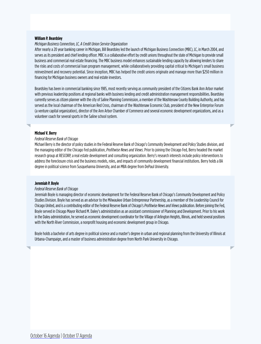# <span id="page-7-1"></span>**William P. Beardsley**

### *Michigan Business Connection, LC, A Credit Union Service Organization*

After nearly a 20 year banking career in Michigan, Bill Beardsley led the launch of Michigan Business Connection (MBC), LC, in March 2004, and serves as its president and chief lending officer. MBC is a collaborative effort by credit unions throughout the state of Michigan to provide small business and commercial real estate financing. The MBC business model enhances sustainable lending capacity by allowing lenders to share the risks and costs of commercial loan program management, while collaboratively providing capital critical to Michigan's small business reinvestment and recovery potential. Since inception, MBC has helped the credit unions originate and manage more than \$250 million in financing for Michigan business owners and real estate investors.

Beardsley has been in commercial banking since 1985, most recently serving as community president of the Citizens Bank Ann Arbor market with previous leadership positions at regional banks with business lending and credit administration management responsibilities. Beardsley currently serves as citizen planner with the city of Saline Planning Commission, a member of the Washtenaw County Building Authority, and has served as the local chairman of the American Red Cross, chairman of the Washtenaw Economic Club, president of the New Enterprise Forum (a venture capital organization), director of the Ann Arbor Chamber of Commerce and several economic development organizations, and as a volunteer coach for several sports in the Saline school system.

# <span id="page-7-0"></span>**Michael V. Berry**

### *Federal Reserve Bank of Chicago*

Michael Berry is the director of policy studies in the Federal Reserve Bank of Chicago's Community Development and Policy Studies division, and the managing editor of the Chicago Fed publication, *Profitwise News and Views*. Prior to joining the Chicago Fed, Berry headed the market research group at RESCORP, a real estate development and consulting organization. Berry's research interests include policy interventions to address the foreclosure crisis and the business models, roles, and impacts of community development financial institutions. Berry holds a BA degree in political science from Susquehanna University, and an MBA degree from DePaul University.

# <span id="page-7-2"></span>**Jeremiah P. Boyle**

# *Federal Reserve Bank of Chicago*

Jeremiah Boyle is managing director of economic development for the Federal Reserve Bank of Chicago's Community Development and Policy Studies Division. Boyle has served as an advisor to the Milwaukee Urban Entrepreneur Partnership, as a member of the Leadership Council for Chicago United, and is a contributing editor of the Federal Reserve Bank of Chicago's *Profitwise News and Views* publication. Before joining the Fed, Boyle served in Chicago Mayor Richard M. Daley's administration as an assistant commissioner of Planning and Development. Prior to his work in the Daley administration, he served as economic development coordinator for the Village of Arlington Heights, Illinois, and held several positions with the North River Commission, a nonprofit housing and economic development group in Chicago.

Boyle holds a bachelor of arts degree in political science and a master's degree in urban and regional planning from the University of Illinois at Urbana-Champaign, and a master of business administration degree from North Park University in Chicago.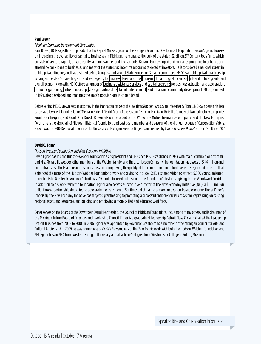# <span id="page-8-1"></span>**Paul Brown**

# *Michigan Economic Development Corporation*

Paul Brown, JD, MBA, is the vice president of the Capital Markets group of the Michigan Economic Development Corporation. Brown's group focuses on increasing the availability of capital to businesses in Michigan. He manages the bulk of the state's \$2 billion 21<sup>st</sup> Century Jobs Fund, which consists of venture capital, private equity, and mezzanine fund investments. Brown also developed and manages programs to enhance and streamline bank loans to businesses and many of the state's tax incentive programs targeted at investors. He is considered a national expert in public-private finance, and has testified before Congress and several State House and Senate committees. MEDC is a public-private partnership serving as the state's marketing arm and lead agency for [business,](http://www.michiganadvantage.org/Why-Michigan/) [talent and jobs](http://www.michiganadvantage.org/Talent-and-Jobs/), [tourism](http://www.michigan.org/), [film and digital incentives,](http://www.michiganfilmoffice.org/) [arts and cultural grants](http://www.michiganadvantage.org/Arts/Grant-Programs/), and overall economic growth. MEDC offers a number of [business assistance services](http://www.michiganadvantage.org/Grow-Your-Business/) and [capital programs](http://www.michiganadvantage.org/Access-to-Capital/) for business attraction and acceleration, [economic gardening](http://www.michiganadvantage.org/Business-Connect/), [entrepreneurship,](http://www.michiganadvantage.org/Entrepreneurs-and-Innovators/) [strategic partnerships](http://www.michiganadvantage.org/Michigan-Economic-Development-Partners/), [talent enhancement,](http://www.hiremi.org/jobs) and urban and [community development.](http://www.michiganadvantage.org/Community-Development-and-Assistance/) MEDC, founded in 1999, also developed and manages the state's popular Pure Michigan brand.

Before joining MEDC, Brown was an attorney in the Manhattan office of the law firm Skadden, Arps, Slate, Meagher & Flom LLP. Brown began his legal career as a law clerk to Judge John O'Meara in Federal District Court of the Eastern District of Michigan. He is the founder of two technology companies, Front Door Insights, and Front Door Direct. Brown sits on the board of the Wolverine Mutual Insurance Coompany, and the New Enterprise Forum. He is the vice chair of Michigan Historical Foundation, and past board member and treasurer of the Michigan League of Conservation Voters. Brown was the 2010 Democratic nominee for University of Michigan Board of Regents and named by *Crain's Business Detroit* to their "40 Under 40."

# <span id="page-8-0"></span>**David O. Egner**

# *Hudson-Webber Foundation and New Economy Initiative*

David Egner has led the Hudson-Webber Foundation as its president and CEO since 1997. Established in 1943 with major contributions from Mr. and Mrs. Richard H. Webber, other members of the Webber family, and The J. L. Hudson Company, the foundation has assets of \$146 million and concentrates its efforts and resources on its mission of improving the quality of life in metropolitan Detroit. Recently, Egner led an effort that enhanced the focus of the Hudson-Webber Foundation's work and giving to include 15x15, a shared vision to attract 15,000 young, talented households to Greater Downtown Detroit by 2015, and a focused extension of the foundation's historical giving to the Woodward Corridor. In addition to his work with the foundation, Egner also serves as executive director of the New Economy Initiative (NEI), a \$100 million philanthropic partnership dedicated to accelerate the transition of Southeast Michigan to a more innovation-based economy. Under Egner's leadership the New Economy Initiative has targeted grantmaking to promoting a successful entrepreneurial ecosystem, capitalizing on existing regional assets and resources, and building and employing a more skilled and educated workforce.

Egner serves on the boards of the Downtown Detroit Partnership, the Council of Michigan Foundations, Inc., among many others, and is chairman of the Michigan Future Board of Directors and Leadership Council. Egner is a graduate of Leadership Detroit Class XIX and chaired the Leadership Detroit Trustees from 2009 to 2010. In 2006, Egner was appointed by Governor Granholm as a member of the Michigan Council for Arts and Cultural Affairs, and in 2009 he was named one of *Crain's* Newsmakers of the Year for his work with both the Hudson-Webber Foundation and NEI. Egner has an MBA from Western Michigan University and a bachelor's degree from Westminster College in Fulton, Missouri.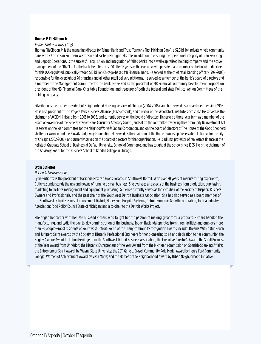# <span id="page-9-1"></span>**Thomas P. FitzGibbon Jr.**

# *Talmer Bank and Trust (Troy)*

Thomas FitzGibbon Jr. is the managing director for Talmer Bank and Trust (formerly First Michigan Bank), a \$2.3 billion privately held community bank with 47 offices in Southern Wisconsin and Eastern Michigan. His role, in addition to ensuring the operational integrity of Loan Servicing and Deposit Operations, is the successful acquisition and integration of failed banks into a well-capitalized holding company and the active management of the CRA Plan for the bank. He retired in 2010 after 15 years as the executive vice president and member of the board of directors for this OCC-regulated, publically-traded \$10 billion Chicago-based MB Financial Bank. He served as the chief retail banking officer (1999-2008), responsible for the oversight of 70 branches and all other retail delivery platforms. He served as a member of the bank's board of directors and a member of the Management Committee for the bank. He served as the president of MB Financial Community Development Corporation, president of the MB Financial Bank Charitable Foundation, and treasurer of both the federal and state Political Action Committees of the holding company.

FitzGibbon is the former president of Neighborhood Housing Services of Chicago (2004-2008), and had served as a board member since 1995. He is also president of The Rogers Park Business Alliance (1992-present), and director of the Woodstock Institute since 2002. He served as the chairman of ACCION-Chicago from 2003 to 2006, and currently serves on the board of directors. He served a three-year term as a member of the Board of Governors of the Federal Reserve Bank Consumer Advisory Council, and sat on the committee reviewing the Community Reinvestment Act. He serves on the loan committee for the NeighborWorks® Capital Corporation, and on the board of directors of The House of the Good Shepherd shelter for women and the Blowitz-Ridgeway Foundation. He served as the chairman of the Home Ownership Preservation Initiative for the city of Chicago (2002-2006), and currently serves on the board of directors for that organization. He is adjunct professor of real estate finance at the Kellstadt Graduate School of Business at DePaul University, School of Commerce, and has taught at the school since 1995. He is the chairman of the Advisory Board for the Business School of Kendall College in Chicago.

# <span id="page-9-0"></span>**Lydia Gutierrez**

# *Hacienda Mexican Foods*

Lydia Gutierrez is the president of Hacienda Mexican Foods, located in Southwest Detroit. With over 20 years of manufacturing experience, Gutierrez understands the ups and downs of running a small business. She oversees all aspects of the business from production, purchasing, marketing to facilities management and equipment purchasing. Gutierrez currently serves as the vice chair of the Society of Hispanic Business Owners and Professionals, and the past chair of the Southwest Detroit Business Association. She has also served as a board member of the Southwest Detroit Business Improvement District; Henry Ford Hospital Systems; Detroit Economic Growth Corporation; Tortilla Industry Association; Food Policy Council State of Michigan; and a co-chair to the Detroit Works Project.

She began her career with her late husband Richard who taught her the passion of making great tortilla products. Richard handled the manufacturing, and Lydia the day-to-day administration of the business. Today, Hacienda operates from three facilities and employs more than 80 people—most residents of Southwest Detroit. Some of the many community recognition awards include: Dreams Within Our Reach and Junipero Serra awards by the Society of Hispanic Professional Engineers for her pioneering spirit and dedication to her community; the Bagley Avenue Award for Latino Heritage from the Southwest Detroit Business Association; the Executive Director's Award; the Small Business of the Year Award from Univision; the Hispanic Entrepreneur of the Year Award from the Michigan commission on Spanish-Speaking Affairs; the Entrepreneur Spirit Award, by Wayne State University; the 2011 Gene L. Brazell Community Role Model Award by Henry Ford Community College; Women of Achievement Award by Vista Maria; and the Heroes of the Neighborhood Award by Urban Neighborhood Initiative.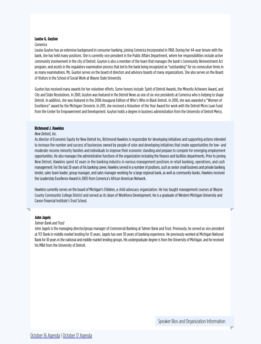# <span id="page-10-1"></span>**Louise G. Guyton**

# *Comerica*

Louise Guyton has an extensive background in consumer banking, joining Comerica Incorporated in 1968. During her 44-year tenure with the bank, she has held many positions. She is currently vice president in the Public Affairs Department, where her responsibilities include active community involvement in the city of Detroit. Guyton is also a member of the team that manages the bank's Community Reinvestment Act program, and assists in the regulatory examination process that led to the bank being recognized as "outstanding" for six consecutive times in as many examinations. Ms. Guyton serves on the board of directors and advisory boards of many organizations. She also serves on the Board of Visitors in the School of Social Work at Wayne State University.

Guyton has received many awards for her volunteer efforts. Some honors include: Spirit of Detroit Awards, the Minority Achievers Award, and City and State Resolutions. In 2001, Guyton was featured in the Detroit News as one of six vice presidents at Comerica who is helping to shape Detroit. In addition, she was featured in the 2006 Inaugural Edition of Who's Who in Black Detroit. In 2010, she was awarded a "Women of Excellence" award by the Michigan Chronicle. In 2011, she received a Volunteer of the Year Award for work with the Detroit Micro Loan Fund from the Center for Empowerment and Development. Guyton holds a degree in business administration from the University of Detroit Mercy.

# <span id="page-10-2"></span>**Richmond J. Hawkins**

# *New Detroit, Inc.*

As director of Economic Equity for New Detroit Inc, Richmond Hawkins is responsible for developing initiatives and supporting actions intended to increase the number and success of businesses owned by people of color and developing initiatives that create opportunities for low- and moderate-income minority families and individuals to improve their economic standing and prepare to compete for emerging employment opportunities. He also manages the administrative functions of the organization including the finance and facilities departments. Prior to joining New Detroit, Hawkins spent 42 years in the banking industry in various management positions in retail banking, operations, and cash management. For the last 26 years of his banking career, Hawkins served in a number of positions, such as senior small business and private banking lender, sales team leader, group manager, and sales manager working for a large regional bank, as well as community banks. Hawkins received the Leadership Excellence Award in 2005 from Comerica's African American Network.

Hawkins currently serves on the board of Michigan's Children, a child advocacy organization. He has taught management courses at Wayne County Community College District and served as its dean of Workforce Development. He is a graduate of Western Michigan University and Canon Financial Institute's Trust School.

# <span id="page-10-0"></span>**John Jagels**

# *Talmer Bank and Trust*

John Jagels is the managing director/group manager of Commercial Banking at Talmer Bank and Trust. Previously, he served as vice president at TCF Bank in middle market lending for 13 years. Jagels has over 30 years of banking experience. He previously worked at Michigan National Bank for 18 years in the national and middle market lending groups. His undergraduate degree is from the University of Michigan, and he received his MBA from the University of Detroit.

w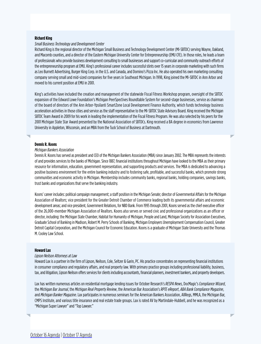# <span id="page-11-0"></span>**Richard King**

# *Small Business Technology and Development Center*

Richard King is the regional director of the Michigan Small Business and Technology Development Center (MI-SBTDC) serving Wayne, Oakland, and Macomb counties, and a director of the Eastern Michigan University Center for Entrepreneurship (EMU CFE). In those roles, he leads a team of professionals who provide business development consulting to small businesses and support co-curricular and community outreach efforts of the entrepreneurship program at EMU. King's professional career includes successful stints over 15 years in corporate marketing with such firms as Leo Burnett Advertising, Burger King Corp. in the U.S. and Canada, and Domino's Pizza Inc. He also operated his own marketing consulting company serving small and mid-sized companies for five years in Southeast Michigan. In 1998, King joined the MI-SBTDC in Ann Arbor and moved to his current position at EMU in 2001.

King's activities have included the creation and management of the statewide Fiscal Fitness Workshop program, oversight of the SBTDC expansion of the Edward Lowe Foundation's Michigan PeerSpectives Roundtable System for second-stage businesses, service as chairman of the board of directors of the Ann Arbor-Ypsilanti SmartZone Local Development Finance Authority, which funds technology business acceleration activities in those cities and service as the staff representative to the MI-SBTDC State Advisory Board. King received the Michigan SBTDC Team Award in 2009 for his work in leading the implementation of the Fiscal Fitness Program. He was also selected by his peers for the 2001 Michigan State Star Award presented by the National Association of SBTDCs. King received a BA degree in economics from Lawrence University in Appleton, Wisconsin, and an MBA from the Tuck School of Business at Dartmouth.

ь

# **Dennis R. Koons**

# *Michigan Bankers Association*

Dennis R. Koons has served as president and CEO of the Michigan Bankers Association (MBA) since January 2002. The MBA represents the interests of and provides services to the banks of Michigan. Since 1887, financial institutions throughout Michigan have looked to the MBA as their primary resource for information, education, government representation, and supporting products and services. The MBA is dedicated to advancing a positive business environment for the entire banking industry and to fostering safe, profitable, and successful banks, which promote strong communities and economic activity in Michigan. Membership includes community banks, regional banks, holding companies, savings banks, trust banks and organizations that serve the banking industry.

Koons' career includes: political campaign management; a staff position in the Michigan Senate; director of Governmental Affairs for the Michigan Association of Realtors; vice president for the Greater Detroit Chamber of Commerce leading both its governmental affairs and economic development areas; and vice president, Government Relations, for NBD Bank. From 1995 through 2001, Koons served as the chief executive officer of the 26,000-member Michigan Association of Realtors. Koons also serves or served civic and professional organizations as an officer or director, including: the Michigan State Chamber, Habitat for Humanity of Michigan, People and Land, Michigan Society for Association Executives, Graduate School of Banking in Madison, Robert M. Perry Schools of Banking, Michigan Employers Unemployment Compensation Council, Greater Detroit Capital Corporation, and the Michigan Council for Economic Education. Koons is a graduate of Michigan State University and the Thomas M. Cooley Law School.

# <span id="page-11-1"></span>**Howard Lax**

### *Lipson Neilson Attorneys at Law*

Howard Lax is a partner in the firm of Lipson, Neilson, Cole, Seltzer & Garin, PC. His practice concentrates on representing financial institutions in consumer compliance and regulatory affairs, and real property law. With primary practice groups including professional liability, business, tax, and litigation, Lipson Neilson offers services for clients including accountants, financial planners, investment bankers, and property developers.

Lax has written numerous articles on residential mortgage lending issues for October Research's *RESPA News*, DocMagic's *Compliance Wizard*, the *Michigan Bar Journal*, the *Michigan Real Property Review*, the American Bar Association's *RPTE eReport*, *ABA Bank Compliance Magazine*, and *Michigan Banker Magazine*. Lax participates in numerous seminars for the American Bankers Association, AllRegs, MMLA, the Michigan Bar, CMPS Institute, and various title insurance and real estate trade groups. Lax is rated AV by Martindale-Hubbell, and he was recognized as a "Michigan Super Lawyer" and "Top Lawyer."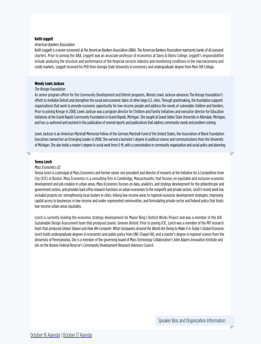# <span id="page-12-1"></span>**Keith Leggett**

# *American Bankers Association*

Keith Leggett is a senior economist at the American Bankers Association (ABA). The American Bankers Association represents banks of all sizesand charters. Prior to joining the ABA, Leggett was an associate professor of economics at Davis & Elkins College. Leggett's responsibilities include analyzing the structure and performance of the financial services industry and monitoring conditions in the macroeconomy and credit markets. Leggett received his PhD from Georgia State University in economics and undergraduate degree from Mars Hill College.

# <span id="page-12-0"></span>**Wendy Lewis Jackson**

# *The Kresge Foundation*

As senior program officer for the Community Development and Detroit programs, Wendy Lewis Jackson advances The Kresge Foundation's efforts to revitalize Detroit and strengthen the social and economic fabric of other large U.S. cities. Through grantmaking, the foundation supports organizations that work to provide economic opportunity for low-income people and address the needs of vulnerable children and families. Prior to joining Kresge in 2008, Lewis Jackson was a program director for Children and Family Initiatives and executive director for Education Initiatives at the Grand Rapids Community Foundation in Grand Rapids, Michigan. She taught at Grand Valley State University in Allendale, Michigan, and has co-authored and assisted in the publication of several reports and publications that address community needs and problem solving.

Lewis Jackson is an American Marshall Memorial Fellow of the German Marshall Fund of the United States; the Association of Black Foundation Executives named her an Emerging Leader in 2008. She earned a bachelor's degree in political science and communications from the University of Michigan. She also holds a master's degree in social work from U-M, with a concentration in community organization and social policy and planning.

# <span id="page-12-2"></span>**Teresa Lynch**

# *Mass Economics LLC*

Teresa Lynch is a principal at Mass Economics and former senior vice president and director of research at the Initiative for a Competitive Inner City (ICIC) in Boston. Mass Economics is a consulting firm in Cambridge, Massachusetts, that focuses on equitable and inclusive economic development and job creation in urban areas. Mass Economics focuses on data, analytics, and strategy development for the philanthropic and government sectors, and provides back office research functions on urban economies to the nonprofit and private sectors. Lynch's recent work has included projects on: strengthening local clusters in cities; linking low-income areas to regional economic development strategies; improving capital access to businesses in low-income and under-represented communities; and formulating private sector and federal policy that treats low-income urban areas equitably.

Lynch is currently leading the economic strategy development for Mayor Bing's Detroit Works Project and was a member of the AIA Sustainable Design Assessment team that produced *Leaner, Greener Detroit*. Prior to joining ICIC, Lynch was a member of the MIT research team that produced *Global Taiwan* and *How We Compete: What Companies Around the World Are Doing to Make it in Today's Global Economy*. Lynch holds undergraduate degrees in economics and public policy from UNC-Chapel Hill, and a master's degree in regional science from the University of Pennsylvania. She is a member of the governing board of Mass Technology Collaborative's John Adams Innovation Institute and sits on the Boston Federal Reserve's Community Development Research Advisory Council.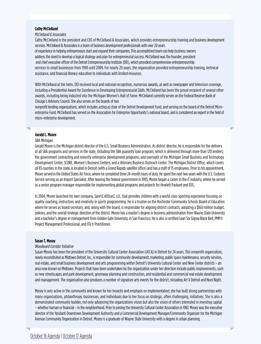# <span id="page-13-1"></span>**Cathy McClelland**

# *McClelland & Associates*

Cathy McClelland is the president and CEO of McClelland & Associates, which provides entrepreneurship training and business development services. McClelland & Associates is a team of business development professionals with over 20 years of experience in helping entrepreneurs start and expand their companies. This accomplished team can help business owners address the need to develop a logical strategy and plan for entrepreneurial success. McClelland was the founder, president and chief executive officer of the Detroit Entrepreneurship Institute (DEI), which provided comprehensive entrepreneurship services to small businesses from 1990 until 2009. For nearly 20 years, the organization provided entrepreneurship training, technical assistance, and financial literacy education to individuals with limited resources.

With McClelland at the helm, DEI received local and national recognition, numerous awards, as well as newspaper and television coverage, including a Presidential Award for Excellence in Developing Entrepreneurial Skills. McClelland has been the proud recipient of several other awards, including being inducted into the Michigan Women's Hall of Fame. McClelland currently serves on the Federal Reserve Bank of Chicago's Advisory Council. She also serves on the boards of two

nonprofit lending organizations, which includes acting as chair of the Detroit Development Fund, and serving on the board of the Detroit Microenterprise Fund. McClelland has served on the Association for Enterprise Opportunity's national board, and is considered an expert in the field of micro-enterprise development.

# <span id="page-13-0"></span>**Gerald L. Moore**

# *SBA Michigan*

Gerald Moore is the Michigan district director of the U.S. Small Business Administration. As district director, he is responsible for the delivery of all SBA programs and services in the state, including the SBA guaranty loan program, which is delivered through more than 120 lenders; the government contracting and minority enterprise development programs; and oversight of the Michigan Small Business and Technology Development Center, SCORE, Women's Business Centers, and a Veterans Business Outreach Center. The Michigan District Office, which covers all 83 counties in the state, is located in Detroit (with a Grand Rapids satellite office) and has a staff of 15 employees. Prior to his appointment, Moore served in the United States Air Force, where he completed three 24-month tours of duty. He spent the next two years with the U.S. Customs Service serving as an Import Specialist. After leaving the federal government in 1995, Moore began a career in the IT industry, where he served as a senior program manager responsible for implementing global programs and projects for Hewlett Packard and EDS.

In 2004, Moore launched his own company, SportZ AllStarZ, LLC, that provides children with a world-class sporting experience focusing on quality coaching, instruction, and creativity in sports programming. He is a trustee on the Rochester Community Schools Board of Education where he serves as board secretary, and, along with the board, is responsible for aligning district contracts, adopting a \$160 million budget, policies, and the overall strategic direction of the district. Moore has a master's degree in business administration from Wayne State University and a bachelor's degree in management from Golden Gate University, in San Francisco. He is also a certified Lean Six Sigma Black Belt, PMP® Project Management Professional, and ITIL® Practitioner.

# <span id="page-13-2"></span>**Susan T. Mosey**

# *Woodward Corridor Initiative*

Susan Mosey has been the president of the University Cultural Center Association (UCCA) in Detroit for 24 years. This nonprofit organization, newly reconstituted as Midtown Detroit, Inc., is responsible for community development, marketing, public space maintenance, security services, real estate, and small business development and arts programming within Detroit's University Cultural Center and New Center districts – an area now known as Midtown. Projects that have been undertaken by the organization under her direction include public improvements, such as new streetscapes and park development, greenway planning and construction, and residential and commercial real estate development and management. The organization also produces a number of signature arts events for the district, including Art X Detroit and Noel Night.

Mosey is very active in the community and known for her tenacity and emphasis on implementation; she has built strong partnerships with many organizations, philanthropy, businesses, and individuals due to her focus on strategic, often challenging, initiatives. She is also a demonstrated community builder, not only advancing the organizations vision but also the vision of others interested in investing capital – whether human or financial – in the neighborhood. Prior to joining the University Cultural Center Association in 1987, Mosey was the executive director of the Ypsilanti Downtown Development Authority and a Commercial Development Manager/Community Organizer for the Michigan Avenue Community Organization in Detroit. Mosey is a graduate of Wayne State University with a degree in urban planning.

Б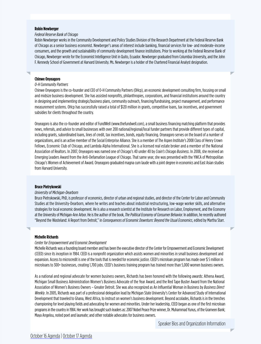# <span id="page-14-0"></span>**Robin Newberger**

# *Federal Reserve Bank of Chicago*

Robin Newberger works in the Community Development and Policy Studies Division of the Research Department at the Federal Reserve Bank of Chicago as a senior business economist. Newberger's areas of interest include banking, financial services for low- and moderate-income consumers, and the growth and sustainability of community development finance institutions. Prior to working at the Federal Reserve Bank of Chicago, Newberger wrote for the Economist Intelligence Unit in Quito, Ecuador. Newberger graduated from Columbia University, and the John F. Kennedy School of Government at Harvard University. Ms. Newberger is a holder of the Chartered Financial Analyst designation.

# **Chinwe Onyeagoro**

### *O-H Community Partners*

Chinwe Onyeagoro is the co-founder and CEO of O-H Community Partners (OHcp), an economic development consulting firm, focusing on small and midsize business development. She has assisted nonprofits, philanthropies, corporations, and financial institutions around the country in designing and implementing strategic/business plans, community outreach, financing/fundraising, project management, and performance measurement systems. OHcp has successfully raised a total of \$120 million in grants, competitive loans, tax incentives, and government subsidies for clients throughout the country.

Onyeagoro is also the co-founder and editor of FundWell (www.thefundwell.com), a small business financing matching platform that provides news, referrals, and advice to small businesses with over 200 national/regional/local funder partners that provide different types of capital, including grants, subordinated loans, lines of credit, tax incentives, bonds, equity financing. Onyeagoro serves on the board of a number of organizations, and is an active member of the Social Enterprise Alliance. She is a member of The Aspen Institute's 2008 Class of Henry Crown Fellows, Economic Club of Chicago, and Lambda Alpha International. She is a licensed real estate broker and a member of the National Association of Realtors. In 2007, Onyeagoro was named one of Chicago's 40 under 40 by *Crain's Chicago Business*. In 2008, she received an Emerging Leaders Award from the Anti-Defamation League of Chicago. That same year, she was presented with the YWCA of Metropolitan Chicago's Women of Achievement of Award. Onyeagoro graduated magna cum laude with a joint degree in economics and East Asian studies from Harvard University.

### <span id="page-14-2"></span>**Bruce Pietrykowski**

## *University of Michigan-Dearborn*

Bruce Pietrykowski, PhD, is professor of economics, director of urban and regional studies, and director of the Center for Labor and Community Studies at the University-Dearborn, where he writes and teaches about industrial restructuring, low-wage worker skills, and alternative strategies for local economic development. He is also a research scientist at the Institute for Research on Labor, Employment, and the Economy at the University of Michigan-Ann Arbor. He is the author of the book, *The Political Economy of Consumer Behavior.* In addition, he recently authored "Beyond the Wasteland: A Report from Detroit," in *Consequences of Economic Downturn: Beyond the Usual Economics*, edited by Martha Starr.

# <span id="page-14-1"></span>**Michelle Richards**

### *Center for Empowerment and Economic Development*

Michelle Richards was a founding board member and has been the executive director of the Center for Empowerment and Economic Development (CEED) since its inception in 1984. CEED is a nonprofit organization which assists women and minorities in small business development and expansion. Access to microcredit is one of the tools that is needed for economic justice. CEED's microloan program has made over \$ 5 million in microloans to 300+ businesses, creating 1,700 jobs. CEED's business training program has trained more than 5,000 women business owners.

As a national and regional advocate for women business owners, Richards has been honored with the following awards: Athena Award, Michigan Small Business Administration Women's Business Advocate of the Year Award, and the Red Tape Buster Award from the National Association of Women's Business Owners – Greater Detroit. She was also recognized as An Influential Woman in Business by *Business Direct Weekly*. In 2005, Richards was part of a professional delegation lead by Michigan State University's Center for Advanced Study of International Development that traveled to Ghana, West Africa, to instruct on women's business development. Beyond accolades, Richards is in the trenches championing for level playing fields and advocating for women and minorities. Under her leadership, CEED began as one of the first microloan programs in the country in 1984. Her work has brought such leaders as: 2007 Nobel Peace Prize winner, Dr. Muhammad Yunus, of the Grameen Bank; Maya Angelou, noted poet and laureate; and other notable advocates for business owners.

Speaker Bios and Organization Information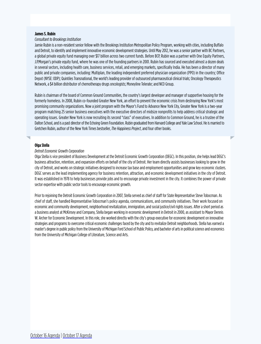# **James S. Rubin**

# *Consultant to Brookings Institution*

Jamie Rubin is a non-resident senior fellow with the Brookings Institution Metropolitan Policy Program, working with cities, including Buffalo and Detroit, to identify and implement innovative economic development strategies. Until May 2012, he was a senior partner with BC Partners, a global private equity fund managing over \$17 billion across two current funds. Before BCP, Rubin was a partner with One Equity Partners, J.P.Morgan's private equity fund, where he was one of the founding partners in 2001. Rubin has sourced and executed almost a dozen deals in several sectors, including health care, business services, retail, and emerging markets, specifically India. He has been a director of many public and private companies, including: Multiplan, the leading independent preferred physician organization (PPO) in the country; Office Depot (NYSE: ODP); Quintiles Transnational, the world's leading provider of outsourced pharmaceutical clinical trials; Oncology Therapeutics Network, a \$4 billion distributor of chemotherapy drugs oncologists; Moneyline Telerate; and NCO Group.

Rubin is chairman of the board of Common Ground Communities, the country's largest developer and manager of supportive housing for the formerly homeless. In 2008, Rubin co-founded Greater New York, an effort to prevent the economic crisis from destroying New York's most promising community organizations. Now a joint program with the Mayor's Fund to Advance New York City, Greater New York is a two-year program matching 25 senior business executives with the executive directors of midsize nonprofits to help address critical strategic and operating issues. Greater New York is now recruiting its second "class" of executives. In addition to Common Ground, he is a trustee of the Dalton School, and is a past director of the Echoing Green Foundation. Rubin graduated from Harvard College and Yale Law School. He is married to Gretchen Rubin, author of the New York Times bestseller, *The Happiness Project*, and four other books.

# <span id="page-15-0"></span>**Olga Stella**

# *Detroit Economic Growth Corporation*

Olga Stella is vice president of Business Development at the Detroit Economic Growth Corporation (DEGC). In this position, she helps lead DEGC's business attraction, retention, and expansion efforts on behalf of the city of Detroit. Her team directly assists businesses looking to grow in the city of Detroit, and works on strategic initiatives designed to increase tax base and employment opportunities and grow key economic clusters. DEGC serves as the lead implementing agency for business retention, attraction, and economic development initiatives in the city of Detroit. It was established in 1978 to help businesses provide jobs and to encourage private investment in the city. It combines the power of private sector expertise with public sector tools to encourage economic growth.

Prior to rejoining the Detroit Economic Growth Corporation in 2007, Stella served as chief of staff for State Representative Steve Tobocman. As chief of staff, she handled Representative Tobocman's policy agenda, communications, and community initiatives. Their work focused on economic and community development, neighborhood revitalization, immigration, and social justice/civil rights issues. After a short period as a business analyst at McKinsey and Company, Stella began working in economic development in Detroit in 2000, as assistant to Mayor Dennis W. Archer for Economic Development. In this role, she worked directly with the city's group executive for economic development on innovative strategies and programs to overcome critical economic challenges faced by the city and to revitalize Detroit neighborhoods. Stella has earned a master's degree in public policy from the University of Michigan Ford School of Public Policy, and bachelor of arts in political science and economics from the University of Michigan College of Literature, Science and Arts.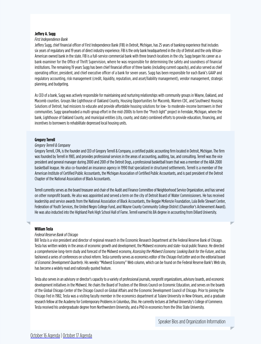# <span id="page-16-2"></span>**Jeffery A. Sugg**

# *First Independence Bank*

Jeffery Sugg, chief financial officer of First Independence Bank (FIB) in Detroit, Michigan, has 25 years of banking experience that includes six years of regulatory and 19 years of direct industry experience. FIB is the only bank headquartered in the city of Detroit and the only African-American owned bank in the state. FIB is a full-service commercial bank with three branch locations in the city. Sugg began his career as a bank examiner for the Office of Thrift Supervision, where he was responsible for determining the safety and soundness of financial institutions. The remaining 19 years Sugg has been chief financial officer of three banks (including current capacity), and also served as chief operating officer, president, and chief executive officer of a bank for seven years. Sugg has been responsible for each Bank's GAAP and regulatory accounting, risk management (credit, liquidity, reputation, and asset/liability management), vendor management, strategic planning, and budgeting.

As CEO of a bank, Sugg was actively responsible for maintaining and nurturing relationships with community groups in Wayne, Oakland, and Macomb counties. Groups like Lighthouse of Oakland County, Housing Opportunities for Macomb, Warren CDC, and Southwest Housing Solutions of Detroit, had missions to educate and provide affordable housing solutions for low- to moderate-income borrowers in their communities. Sugg spearheaded a multi-group effort in the mid-2000s to form the "Porch light" project in Ferndale, Michigan, where the bank, Lighthouse of Oakland County, and municipal entities (city, county, and state) combined efforts to provide education, financing, and incentives to borrowers to rehabilitate depressed local housing units.

# <span id="page-16-0"></span>**Gregory Terrell**

# *Gregory Terrell & Company*

Gregory Terrell, CPA, is the founder and CEO of Gregory Terrell & Company, a certified public accounting firm located in Detroit, Michigan. The firm was founded by Terrell in 1983, and provides professional services in the areas of accounting, auditing, tax, and consulting. Terrell was the vice president and general manager during 2000 and 2001 of the Detroit Dogs, a professional basketball team that was a member of the ABA 2000 basketball league. He also co-founded an insurance agency in 1990 that specialized in structured settlements. Terrell is a member of the American Institute of Certified Public Accountants, the Michigan Association of Certified Public Accountants, and is past president of the Detroit Chapter of the National Association of Black Accountants.

Terrell currently serves as the board treasurer and chair of the Audit and Finance Committee of Neighborhood Service Organization, and has served on other nonprofit boards. He also was appointed and served a term on the city of Detroit Board of Water Commissioners. He has received leadership and service awards from the National Association of Black Accountants, the Reggie McKenzie Foundation, Lula Belle Stewart Center, Federation of Youth Services, the United Negro College Fund, and Wayne County Community College District (Chancellor's Achievement Award). He was also inducted into the Highland Park High School Hall of Fame. Terrell earned his BA degree in accounting from Dillard University.

# <span id="page-16-1"></span>**William Testa**

# *Federal Reserve Bank of Chicago*

Bill Testa is a vice president and director of regional research in the Economic Research Department at the Federal Reserve Bank of Chicago. Testa has written widely in the areas of economic growth and development, the Midwest economy and state–local public finance. He directed a comprehensive long-term study and forecast of the Midwest economy, *Assessing the Midwest Economy: Looking Back for the Future*, and has fashioned a series of conferences on school reform. Testa currently serves as economics editor of the *Chicago Fed Letter* and on the editorial board of *Economic Development Quarterly*. His weekly "Midwest Economy" Web column, which can be found on the Federal Reserve Bank's Web site, has become a widely read and nationally quoted feature.

Testa also serves in an advisory or director's capacity to a variety of professional journals, nonprofit organizations, advisory boards, and economic development initiatives in the Midwest. He chairs the Board of Trustees of the Illinois Council on Economic Education, and serves on the boards of the Global Chicago Center of the Chicago Council on Global Affairs and the Economic Development Council of Chicago. Prior to joining the Chicago Fed in 1982, Testa was a visiting faculty member in the economics department at Tulane University in New Orleans, and a graduate research fellow at the Academy for Contemporary Problems in Columbus, Ohio. He currently lectures at DePaul University's College of Commerce. Testa received his undergraduate degree from Northwestern University, and a PhD in economics from the Ohio State University.

Speaker Bios and Organization Information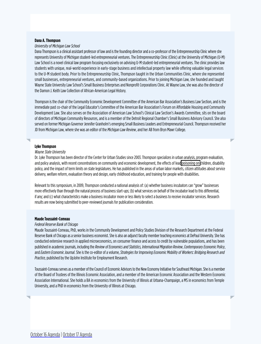# <span id="page-17-2"></span>**Dana A. Thompson**

# *University of Michigan Law School*

Dana Thompson is a clinical assistant professor of law and is the founding director and a co-professor of the Entrepreneurship Clinic where she represents University of Michigan student-led entrepreneurial ventures. The Entrepreneurship Clinic (Clinic) at the University of Michigan (U-M) Law School is a novel clinical law program focusing exclusively on advising U-M student-led entrepreneurial ventures. The clinic provides law students with unique, real-world experience in early-stage business and intellectual property law while offering valuable legal services to the U-M student body. Prior to the Entrepreneurship Clinic, Thompson taught in the Urban Communities Clinic, where she represented small businesses, entrepreneurial ventures, and community-based organizations. Prior to joining Michigan Law, she founded and taught Wayne State University Law School's Small Business Enterprises and Nonprofit Corporations Clinic. At Wayne Law, she was also the director of the Damon J. Keith Law Collection of African-American Legal History.

Thompson is the chair of the Community Economic Development Committee of the American Bar Association's Business Law Section, and is the immediate past co-chair of the Legal Educator's Committee of the American Bar Association's Forum on Affordable Housing and Community Development Law. She also serves on the Association of American Law School's Clinical Law Section's Awards Committee, sits on the board of directors of Michigan Community Resources, and is a member of the Detroit Regional Chamber's Small Business Advisory Council. She also served on former Michigan Governor Jennifer Granholm's emerging Small Business Leaders and Entrepreneurial Council. Thompson received her JD from Michigan Law, where she was an editor of the *Michigan Law Review*, and her AB from Bryn Mawr College.

# <span id="page-17-1"></span>**Lyke Thompson**

#### *Wayne State University*

Dr. Lyke Thompson has been director of the Center for Urban Studies since 2003. Thompson specializes in urban analysis, program evaluation, and policy analysis, with recent concentrations on community and economic development, the effects of lea[d poisoning on c](http://detroitleaddata.cus.wayne.edu/)hildren, disability policy, and the impact of term limits on state legislatures. He has published in the areas of urban labor markets, citizen attitudes about service delivery, welfare reform, evaluation theory and design, early childhood education, and training for people with disabilities.

Relevant to this symposium, in 2009, Thompson conducted a national analysis of: (a) whether business incubators can "grow" businesses more effectively than through the natural process of business start-ups; (b) what services on behalf of the incubator lead to this differential, if any; and (c) what characteristics make a business incubator more or less likely to select a business to receive incubator services. Research results are now being submitted to peer-reviewed journals for publication consideration.

# <span id="page-17-0"></span>**Maude Toussaint-Comeau**

# *Federal Reserve Bank of Chicago*

Maude Toussaint-Comeau, PhD, works in the Community Development and Policy Studies Division of the Research Department at the Federal Reserve Bank of Chicago as a senior business economist. She is also an adjunct faculty member teaching economics at DePaul University. She has conducted extensive research in applied microeconomics, on consumer finance and access to credit by vulnerable populations, and has been published in academic journals, including the *Review of Economics and Statistics, International Migration Review*, *Contemporary Economic Policy*, and *Eastern Economic Journal*. She is the co-editor of a volume, *Strategies for Improving Economic Mobility of Workers: Bridging Research and Practice,* published by the UpJohn Institute for Employment Research.

Toussaint-Comeau serves as a member of the Council of Economic Advisors to the New Economy Initiative for Southeast Michigan. She is a member of the Board of Trustees of the Illinois Economic Association, and a member of the American Economic Association and the Western Economic Association International. She holds a BA in economics from the University of Illinois at Urbana-Champaign, a MS in economics from Temple University, and a PhD in economics from the University of Illinois at Chicago.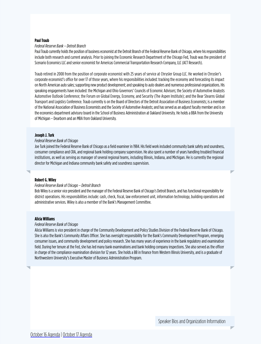# <span id="page-18-1"></span>**Paul Traub**

# *Federal Reserve Bank – Detroit Branch*

Paul Traub currently holds the position of business economist at the Detroit Branch of the Federal Reserve Bank of Chicago, where his responsibilities include both research and current analysis. Prior to joining the Economic Research Department of the Chicago Fed, Traub was the president of Scenario Economics LLC and senior economist for Americas Commercial Transportation Research Company, LLC (ACT Research).

Traub retired in 2008 from the position of corporate economist with 25 years of service at Chrysler Group LLC. He worked in Chrysler's corporate economist's office for over 17 of those years, where his responsibilities included: tracking the economy and forecasting its impact on North American auto sales; supporting new product development; and speaking to auto dealers and numerous professional organizations. His speaking engagements have included: the Michigan and Ohio Governors' Councils of Economic Advisors; the Society of Automotive Analysts Automotive Outlook Conference; the Forum on Global Energy, Economy, and Security (The Aspen Institute); and the Bear Stearns Global Transport and Logistics Conference. Traub currently is on the Board of Directors of the Detroit Association of Business Economists; is a member of the National Association of Business Economists and the Society of Automotive Analysts; and has served as an adjunct faculty member and is on the economics department advisory board in the School of Business Administration at Oakland University. He holds a BBA from the University of Michigan – Dearborn and an MBA from Oakland University.

# <span id="page-18-2"></span>**Joseph J. Turk**

# *Federal Reserve Bank of Chicago*

Joe Turk joined the Federal Reserve Bank of Chicago as a field examiner in 1984. His field work included community bank safety and soundness, consumer compliance and CRA, and regional bank holding company supervision. He also spent a number of years handling troubled financial institutions, as well as serving as manager of several regional teams, including Illinois, Indiana, and Michigan. He is currently the regional director for Michigan and Indiana community bank safety and soundness supervision.

# <span id="page-18-3"></span>**Robert G. Wiley**

# *Federal Reserve Bank of Chicago – Detroit Branch*

Bob Wiley is a senior vice president and the manager of the Federal Reserve Bank of Chicago's Detroit Branch, and has functional responsibility for district operations. His responsibilities include: cash, check, fiscal, law enforcement unit, information technology, building operations and administrative services. Wiley is also a member of the Bank's Management Committee.

# <span id="page-18-0"></span>**Alicia Williams**

# *Federal Reserve Bank of Chicago*

Alicia Williams is vice president in charge of the Community Development and Policy Studies Division of the Federal Reserve Bank of Chicago. She is also the Bank's Community Affairs Officer. She has oversight responsibility for the Bank's Community Development Program, emerging consumer issues, and community development and policy research. She has many years of experience in the bank regulatory and examination field. During her tenure at the Fed, she has led many bank examinations and bank holding company inspections. She also served as the officer in charge of the compliance examination division for 12 years. She holds a BB in finance from Western Illinois University, and is a graduate of Northwestern University's Executive Master of Business Administration Program.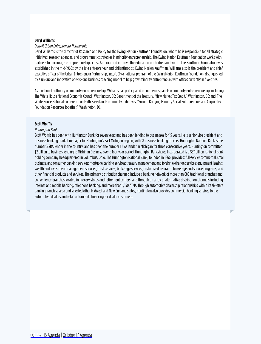# <span id="page-19-0"></span>**Daryl Williams**

# *Detroit Urban Entrepreneur Partnership*

Daryl Williams is the director of Research and Policy for the Ewing Marion Kauffman Foundation, where he is responsible for all strategic initiatives, research agendas, and programmatic strategies in minority entrepreneurship. The Ewing Marion Kauffman Foundation works with partners to encourage entrepreneurship across America and improve the education of children and youth. The Kauffman Foundation was established in the mid-1960s by the late entrepreneur and philanthropist, Ewing Marion Kauffman. Williams also is the president and chief executive officer of the Urban Entrepreneur Partnership, Inc., (UEP) a national program of the Ewing Marion Kauffman Foundation, distinguished by a unique and innovative one-to-one business coaching model to help grow minority entrepreneurs with offices currently in five cities.

As a national authority on minority entrepreneurship, Williams has participated on numerous panels on minority entrepreneurship, including: The White House National Economic Council, Washington, DC; Department of the Treasury, "New Market Tax Credit," Washington, DC; and The White House National Conference on Faith Based and Community Initiatives, "Forum: Bringing Minority Social Entrepreneurs and Corporate/ Foundation Resources Together," Washington, DC.

# <span id="page-19-1"></span>**Scott Wolffis**

### *Huntington Bank*

Scott Wolffis has been with Huntington Bank for seven years and has been lending to businesses for 15 years. He is senior vice president and business banking market manager for Huntington's East Michigan Region, with 18 business banking officers. Huntington National Bank is the number 3 SBA lender in the country, and has been the number 1 SBA lender in Michigan for three consecutive years. Huntington committed \$2 billion to business lending to Michigan Business over a four year period. Huntington Bancshares Incorporated is a \$57 billion regional bank holding company headquartered in Columbus, Ohio. The Huntington National Bank, founded in 1866, provides: full-service commercial, small business, and consumer banking services; mortgage banking services; treasury management and foreign exchange services; equipment leasing; wealth and investment management services; trust services; brokerage services; customized insurance brokerage and service programs; and other financial products and services. The primary distribution channels include a banking network of more than 680 traditional branches and convenience branches located in grocery stores and retirement centers, and through an array of alternative distribution channels including Internet and mobile banking, telephone banking, and more than 1,350 ATMs. Through automotive dealership relationships within its six-state banking franchise area and selected other Midwest and New England states, Huntington also provides commercial banking services to the automotive dealers and retail automobile financing for dealer customers.